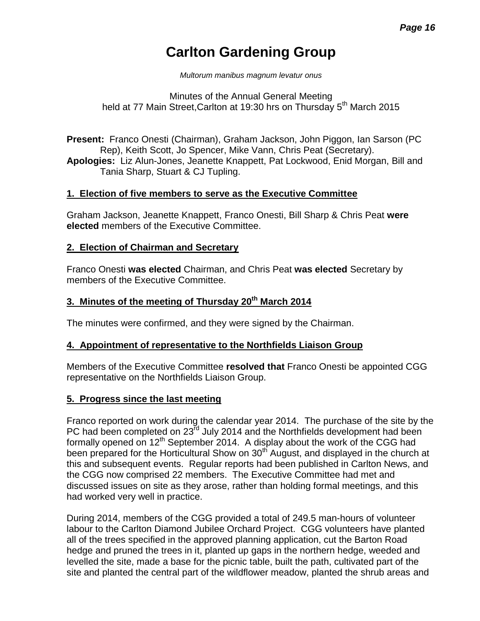# **Carlton Gardening Group**

*Multorum manibus magnum levatur onus*

Minutes of the Annual General Meeting held at 77 Main Street, Carlton at 19:30 hrs on Thursday 5<sup>th</sup> March 2015

**Present:** Franco Onesti (Chairman), Graham Jackson, John Piggon, Ian Sarson (PC Rep), Keith Scott, Jo Spencer, Mike Vann, Chris Peat (Secretary). **Apologies:** Liz Alun-Jones, Jeanette Knappett, Pat Lockwood, Enid Morgan, Bill and

Tania Sharp, Stuart & CJ Tupling.

# **1. Election of five members to serve as the Executive Committee**

Graham Jackson, Jeanette Knappett, Franco Onesti, Bill Sharp & Chris Peat **were elected** members of the Executive Committee.

## **2. Election of Chairman and Secretary**

Franco Onesti **was elected** Chairman, and Chris Peat **was elected** Secretary by members of the Executive Committee.

# **3. Minutes of the meeting of Thursday 20 th March 2014**

The minutes were confirmed, and they were signed by the Chairman.

## **4. Appointment of representative to the Northfields Liaison Group**

Members of the Executive Committee **resolved that** Franco Onesti be appointed CGG representative on the Northfields Liaison Group.

## **5. Progress since the last meeting**

Franco reported on work during the calendar year 2014. The purchase of the site by the PC had been completed on 23<sup>rd</sup> July 2014 and the Northfields development had been formally opened on  $12<sup>th</sup>$  September 2014. A display about the work of the CGG had been prepared for the Horticultural Show on 30<sup>th</sup> August, and displayed in the church at this and subsequent events. Regular reports had been published in Carlton News, and the CGG now comprised 22 members. The Executive Committee had met and discussed issues on site as they arose, rather than holding formal meetings, and this had worked very well in practice.

During 2014, members of the CGG provided a total of 249.5 man-hours of volunteer labour to the Carlton Diamond Jubilee Orchard Project. CGG volunteers have planted all of the trees specified in the approved planning application, cut the Barton Road hedge and pruned the trees in it, planted up gaps in the northern hedge, weeded and levelled the site, made a base for the picnic table, built the path, cultivated part of the site and planted the central part of the wildflower meadow, planted the shrub areas and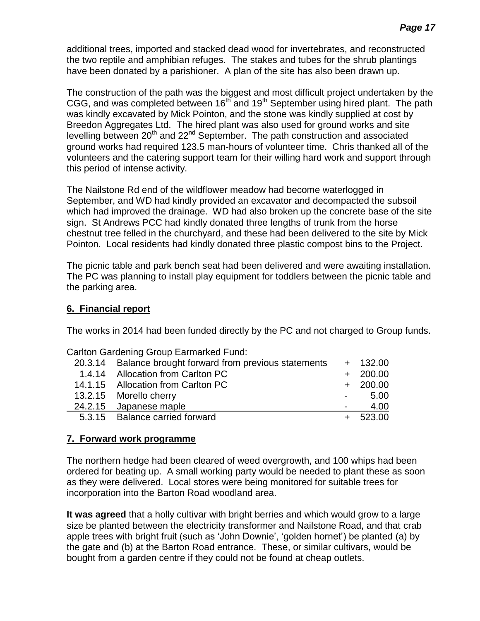additional trees, imported and stacked dead wood for invertebrates, and reconstructed the two reptile and amphibian refuges. The stakes and tubes for the shrub plantings have been donated by a parishioner. A plan of the site has also been drawn up.

The construction of the path was the biggest and most difficult project undertaken by the CGG, and was completed between 16<sup>th</sup> and 19<sup>th</sup> September using hired plant. The path was kindly excavated by Mick Pointon, and the stone was kindly supplied at cost by Breedon Aggregates Ltd. The hired plant was also used for ground works and site levelling between 20<sup>th</sup> and 22<sup>nd</sup> September. The path construction and associated ground works had required 123.5 man-hours of volunteer time. Chris thanked all of the volunteers and the catering support team for their willing hard work and support through this period of intense activity.

The Nailstone Rd end of the wildflower meadow had become waterlogged in September, and WD had kindly provided an excavator and decompacted the subsoil which had improved the drainage. WD had also broken up the concrete base of the site sign. St Andrews PCC had kindly donated three lengths of trunk from the horse chestnut tree felled in the churchyard, and these had been delivered to the site by Mick Pointon. Local residents had kindly donated three plastic compost bins to the Project.

The picnic table and park bench seat had been delivered and were awaiting installation. The PC was planning to install play equipment for toddlers between the picnic table and the parking area.

## **6. Financial report**

The works in 2014 had been funded directly by the PC and not charged to Group funds.

| Carlton Gardening Group Earmarked Fund:                  |            |
|----------------------------------------------------------|------------|
| 20.3.14 Balance brought forward from previous statements | $+ 132.00$ |
| 1.4.14 Allocation from Carlton PC                        | $+ 200.00$ |
| 14.1.15 Allocation from Carlton PC                       | $+ 200.00$ |
| 13.2.15 Morello cherry                                   | $-5.00$    |
| 24.2.15 Japanese maple                                   | 4.00       |
| 5.3.15 Balance carried forward                           | $+ 523.00$ |

# **7. Forward work programme**

The northern hedge had been cleared of weed overgrowth, and 100 whips had been ordered for beating up. A small working party would be needed to plant these as soon as they were delivered. Local stores were being monitored for suitable trees for incorporation into the Barton Road woodland area.

**It was agreed** that a holly cultivar with bright berries and which would grow to a large size be planted between the electricity transformer and Nailstone Road, and that crab apple trees with bright fruit (such as 'John Downie', 'golden hornet') be planted (a) by the gate and (b) at the Barton Road entrance. These, or similar cultivars, would be bought from a garden centre if they could not be found at cheap outlets.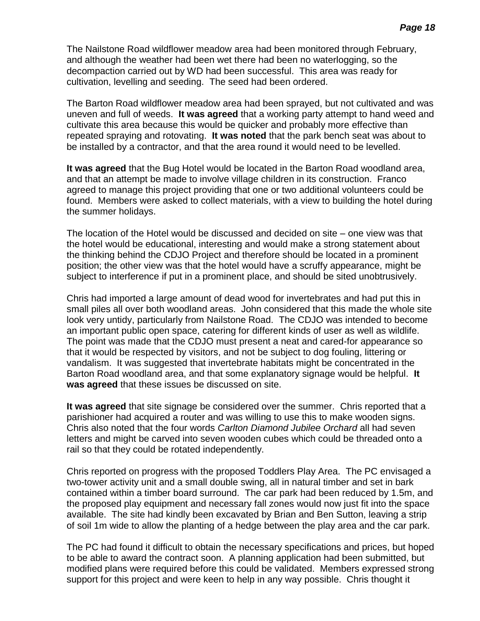The Nailstone Road wildflower meadow area had been monitored through February, and although the weather had been wet there had been no waterlogging, so the decompaction carried out by WD had been successful. This area was ready for cultivation, levelling and seeding. The seed had been ordered.

The Barton Road wildflower meadow area had been sprayed, but not cultivated and was uneven and full of weeds. **It was agreed** that a working party attempt to hand weed and cultivate this area because this would be quicker and probably more effective than repeated spraying and rotovating. **It was noted** that the park bench seat was about to be installed by a contractor, and that the area round it would need to be levelled.

**It was agreed** that the Bug Hotel would be located in the Barton Road woodland area, and that an attempt be made to involve village children in its construction. Franco agreed to manage this project providing that one or two additional volunteers could be found. Members were asked to collect materials, with a view to building the hotel during the summer holidays.

The location of the Hotel would be discussed and decided on site – one view was that the hotel would be educational, interesting and would make a strong statement about the thinking behind the CDJO Project and therefore should be located in a prominent position; the other view was that the hotel would have a scruffy appearance, might be subject to interference if put in a prominent place, and should be sited unobtrusively.

Chris had imported a large amount of dead wood for invertebrates and had put this in small piles all over both woodland areas. John considered that this made the whole site look very untidy, particularly from Nailstone Road. The CDJO was intended to become an important public open space, catering for different kinds of user as well as wildlife. The point was made that the CDJO must present a neat and cared-for appearance so that it would be respected by visitors, and not be subject to dog fouling, littering or vandalism. It was suggested that invertebrate habitats might be concentrated in the Barton Road woodland area, and that some explanatory signage would be helpful. **It was agreed** that these issues be discussed on site.

**It was agreed** that site signage be considered over the summer. Chris reported that a parishioner had acquired a router and was willing to use this to make wooden signs. Chris also noted that the four words *Carlton Diamond Jubilee Orchard* all had seven letters and might be carved into seven wooden cubes which could be threaded onto a rail so that they could be rotated independently.

Chris reported on progress with the proposed Toddlers Play Area. The PC envisaged a two-tower activity unit and a small double swing, all in natural timber and set in bark contained within a timber board surround. The car park had been reduced by 1.5m, and the proposed play equipment and necessary fall zones would now just fit into the space available. The site had kindly been excavated by Brian and Ben Sutton, leaving a strip of soil 1m wide to allow the planting of a hedge between the play area and the car park.

The PC had found it difficult to obtain the necessary specifications and prices, but hoped to be able to award the contract soon. A planning application had been submitted, but modified plans were required before this could be validated. Members expressed strong support for this project and were keen to help in any way possible. Chris thought it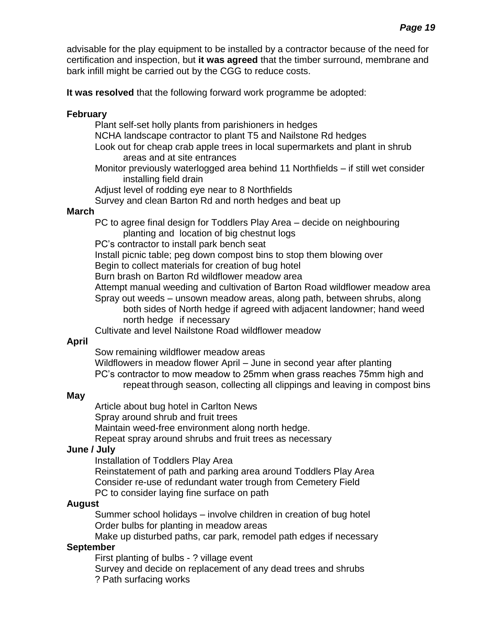advisable for the play equipment to be installed by a contractor because of the need for certification and inspection, but **it was agreed** that the timber surround, membrane and bark infill might be carried out by the CGG to reduce costs.

**It was resolved** that the following forward work programme be adopted:

## **February**

Plant self-set holly plants from parishioners in hedges

NCHA landscape contractor to plant T5 and Nailstone Rd hedges

- Look out for cheap crab apple trees in local supermarkets and plant in shrub areas and at site entrances
- Monitor previously waterlogged area behind 11 Northfields if still wet consider installing field drain

Adjust level of rodding eye near to 8 Northfields

Survey and clean Barton Rd and north hedges and beat up

## **March**

PC to agree final design for Toddlers Play Area – decide on neighbouring planting and location of big chestnut logs

PC's contractor to install park bench seat

Install picnic table; peg down compost bins to stop them blowing over

Begin to collect materials for creation of bug hotel

Burn brash on Barton Rd wildflower meadow area

Attempt manual weeding and cultivation of Barton Road wildflower meadow area

Spray out weeds – unsown meadow areas, along path, between shrubs, along both sides of North hedge if agreed with adjacent landowner; hand weed north hedge if necessary

Cultivate and level Nailstone Road wildflower meadow

# **April**

Sow remaining wildflower meadow areas

Wildflowers in meadow flower April – June in second year after planting PC's contractor to mow meadow to 25mm when grass reaches 75mm high and repeat through season, collecting all clippings and leaving in compost bins

## **May**

Article about bug hotel in Carlton News

Spray around shrub and fruit trees

Maintain weed-free environment along north hedge.

Repeat spray around shrubs and fruit trees as necessary

# **June / July**

Installation of Toddlers Play Area

Reinstatement of path and parking area around Toddlers Play Area Consider re-use of redundant water trough from Cemetery Field

PC to consider laying fine surface on path

## **August**

Summer school holidays – involve children in creation of bug hotel Order bulbs for planting in meadow areas

Make up disturbed paths, car park, remodel path edges if necessary

# **September**

First planting of bulbs - ? village event

Survey and decide on replacement of any dead trees and shrubs ? Path surfacing works